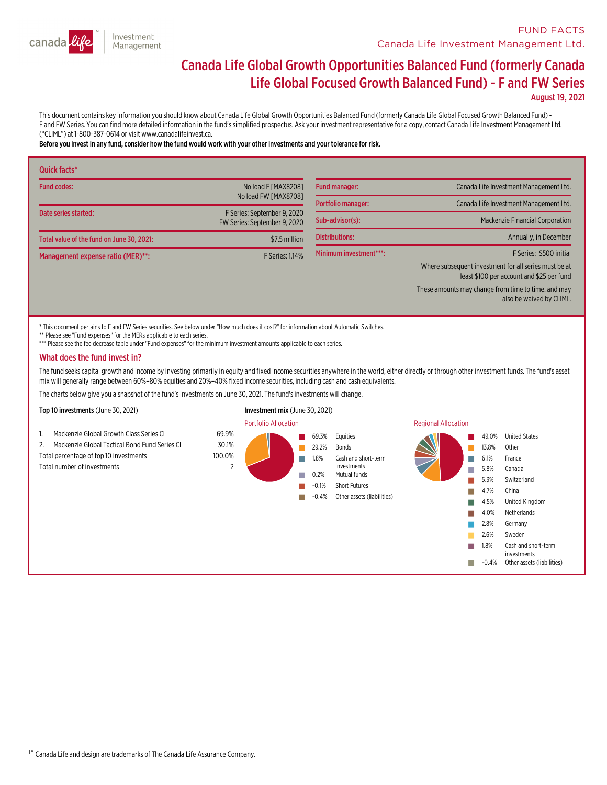

# Canada Life Global Growth Opportunities Balanced Fund (formerly Canada Life Global Focused Growth Balanced Fund) - <sup>F</sup> and FW Series

August 19, 2021

This document contains key information you should know about Canada Life Global Growth Opportunities Balanced Fund (formerly Canada Life Global Focused Growth Balanced Fund) -<br>F and FW Series. You can find more detailed in ("CLIML") at 1-800-387-0614 or visit www.canadalifeinvest.ca.

#### Before you invest in any fund,consider how the fund would work with your other investments and your tolerance for risk.

| Quick facts*                              |                                                             |                                          |                                                                                                    |
|-------------------------------------------|-------------------------------------------------------------|------------------------------------------|----------------------------------------------------------------------------------------------------|
| <b>Fund codes:</b>                        | No load F [MAX8208]                                         | <b>Fund manager:</b>                     | Canada Life Investment Management Ltd.                                                             |
|                                           | No load FW [MAX8708]                                        | Portfolio manager:                       | Canada Life Investment Management Ltd.                                                             |
| Date series started:                      | F Series: September 9, 2020<br>FW Series: September 9, 2020 | Sub-advisor(s):<br><b>Distributions:</b> | Mackenzie Financial Corporation<br>Annually, in December                                           |
| Total value of the fund on June 30, 2021: | \$7.5 million                                               |                                          |                                                                                                    |
| Management expense ratio (MER)**:         | <b>F Series: 1.14%</b>                                      | Minimum investment***:                   | F Series: \$500 initial                                                                            |
|                                           |                                                             |                                          | Where subsequent investment for all series must be at<br>least \$100 per account and \$25 per fund |
|                                           |                                                             |                                          | These amounts may change from time to time, and may<br>also be waived by CLIML.                    |

\* This document pertains to F and FW Series securities. See below under "How much does it cost?" for information about Automatic Switches.

\*\* Please see "Fund expenses" for the MERs applicable to each series.

\*\*\* Please see the fee decrease table under "Fund expenses" for the minimum investment amounts applicable to each series.

#### What does the fund invest in?

The fund seeks capital growth and income by investing primarily in equity and fixed income securities anywhere in the world, either directly or through other investment funds. The fund's asset mix will generally range betw

The charts below give you a snapshot of the fund's investments on June 30, 2021. The fund's investments will change.

Top 10 investments (June 30, 2021) Investment mix (June 30, 2021)

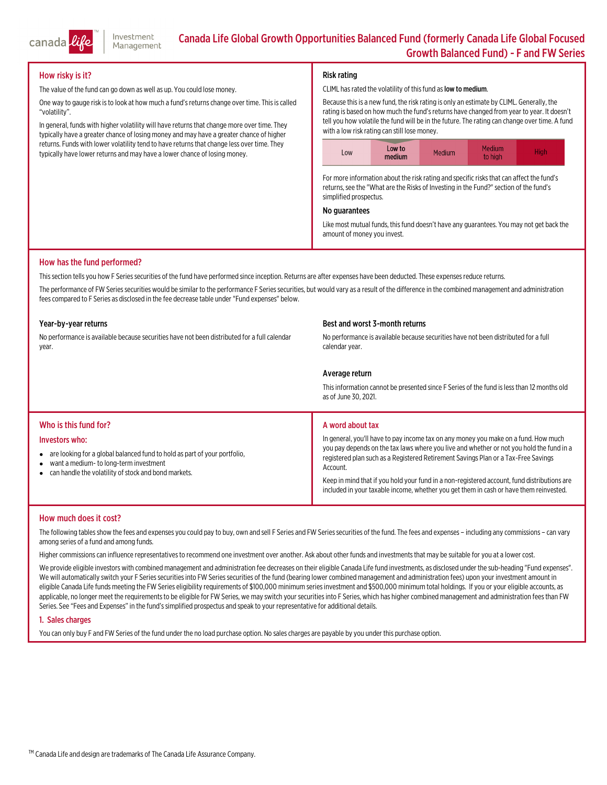

# How risky is it?

The value of the fund can go down as well as up. You could lose money.

One way to gauge risk is to look at how much a fund's returns change over time. This is called "volatility".

In general, funds with higher volatility will have returns that change more over time. They typically have a greater chance of losing money and may have a greater chance of higher returns. Funds with lower volatility tend to have returns that change less over time. They typically have lower returns and may have a lower chance of losing money.

# Risk rating

#### CLIML has rated the volatility of this fund as low to medium.

Because thisis a new fund, the risk rating is only an estimate by CLIML. Generally, the rating is based on how much the fund's returns have changed from year to year. It doesn't tell you how volatile the fund will be in the future. The rating can change over time. <sup>A</sup> fund with <sup>a</sup> low risk rating can still lose money.



For more information about the risk rating and specific risks that can affect the fund's returns, see the "What are the Risks of Investing in the Fund?" section of the fund's simplified prospectus.

# No guarantees

Like most mutual funds, this fund doesn't have any guarantees. You may not get back the amount of money you invest.

# How has the fund performed?

This section tells you how F Series securities of the fund have performed since inception. Returns are after expenses have been deducted. These expenses reduce returns.

The performance of FW Series securities would be similar to the performance F Series securities, but would vary as a result of the difference in the combined management and administration fees compared to F Series as disclosed in the fee decrease table under "Fund expenses" below.

#### Year-by-year returns

No performance is available because securities have not been distributed for a full calendar<br>vear.

#### Best and worst 3-month returns

No performance is available because securities have not been distributed for a full calendar year.

# Average return

Thisinformation cannot be presented since <sup>F</sup> Series of the fund islessthan 12months old as of June 30, 2021.

# Who is this fund for?

#### Investors who:

- are looking for a global balanced fund to hold as part of your portfolio,
- $\bullet$ want a medium- to long-terminvestment
- $\bullet$ can handle the volatility of stock and bond markets.

# A word about tax

In general, you'll have to pay income tax on any money you make on <sup>a</sup> fund. How much you pay depends on the tax laws where you live and whether or not you hold the fund in <sup>a</sup> registered plan such as a Registered Retirement Savings Plan or a Tax-Free Savings<br>Account.

Keep in mind that if you hold your fund in a non-registered account, fund distributions are included in your taxable income, whether you get them in cash or have them reinvested.

# How much does it cost?

The following tables show the fees and expenses you could pay to buy, own and sell F Series and FW Series securities of the fund. The fees and expenses – including any commissions – can vary<br>among series of a fund and amon

Higher commissionscan influence representativesto recommend one investment over another. Ask about other funds and investmentsthatmay be suitable for you at a lower cost.

We provide eligible investors with combined management and administration fee decreases on their eligible Canada Life fund investments, as disclosed under the sub-heading "Fund expenses".<br>We will automatically switch your

# 1. Sales charges

You can only buy F and FW Series of the fund under the no load purchase option. No sales charges are payable by you under this purchase option.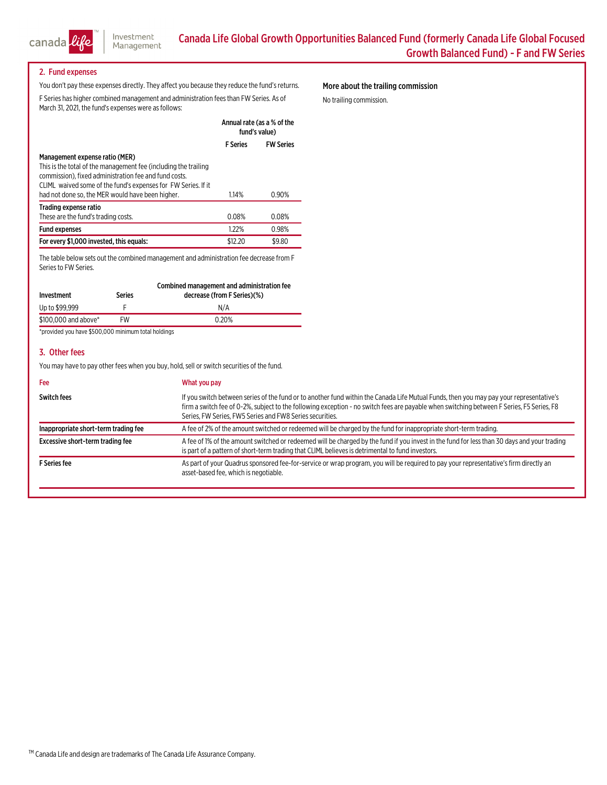

# 2. Fund expenses

You don't pay these expenses directly. They affect you because they reduce the fund's returns. F Series has higher combined management and administration fees than FW Series. As of March 31, 2021, the fund's expenses were as follows:

Annual rate (as a % of the

# More about the trailing commission

No trailing commission.

|                                                                                                                                                                                           | AMURIC CO CO CO CONTRO<br>fund's value) |                  |
|-------------------------------------------------------------------------------------------------------------------------------------------------------------------------------------------|-----------------------------------------|------------------|
|                                                                                                                                                                                           | <b>F</b> Series                         | <b>FW Series</b> |
| Management expense ratio (MER)                                                                                                                                                            |                                         |                  |
| This is the total of the management fee (including the trailing<br>commission), fixed administration fee and fund costs.<br>CLIML waived some of the fund's expenses for FW Series. If it |                                         |                  |
| had not done so, the MER would have been higher.                                                                                                                                          | 1.14%                                   | 0.90%            |
| Trading expense ratio                                                                                                                                                                     |                                         |                  |
| These are the fund's trading costs.                                                                                                                                                       | 0.08%                                   | 0.08%            |
| <b>Fund expenses</b>                                                                                                                                                                      | 1.22%                                   | 0.98%            |
| For every \$1,000 invested, this equals:                                                                                                                                                  | \$12.20                                 | \$9.80           |

The table below sets out the combined management and administration fee decrease from F Series to FW Series.

| Investment           | <b>Series</b> | Combined management and administration fee<br>decrease (from F Series)(%) |
|----------------------|---------------|---------------------------------------------------------------------------|
| Up to \$99,999       |               | N/A                                                                       |
| \$100,000 and above* | FW            | 0.20%                                                                     |
|                      |               |                                                                           |

\*provided you have \$500,000 minimum total holdings

# 3. Other fees

You may have to pay other fees when you buy, hold, sell or switch securities of the fund.

| Fee                                  | What you pay                                                                                                                                                                                                                                                                                                                                     |
|--------------------------------------|--------------------------------------------------------------------------------------------------------------------------------------------------------------------------------------------------------------------------------------------------------------------------------------------------------------------------------------------------|
| Switch fees                          | If you switch between series of the fund or to another fund within the Canada Life Mutual Funds, then you may pay your representative's<br>firm a switch fee of 0-2%, subject to the following exception - no switch fees are payable when switching between F Series, F5 Series, F8<br>Series, FW Series, FW5 Series and FW8 Series securities. |
| Inappropriate short-term trading fee | A fee of 2% of the amount switched or redeemed will be charged by the fund for inappropriate short-term trading.                                                                                                                                                                                                                                 |
| Excessive short-term trading fee     | A fee of 1% of the amount switched or redeemed will be charged by the fund if you invest in the fund for less than 30 days and your trading<br>is part of a pattern of short-term trading that CLIML believes is detrimental to fund investors.                                                                                                  |
| <b>F</b> Series fee                  | As part of your Quadrus sponsored fee-for-service or wrap program, you will be required to pay your representative's firm directly an<br>asset-based fee, which is negotiable.                                                                                                                                                                   |